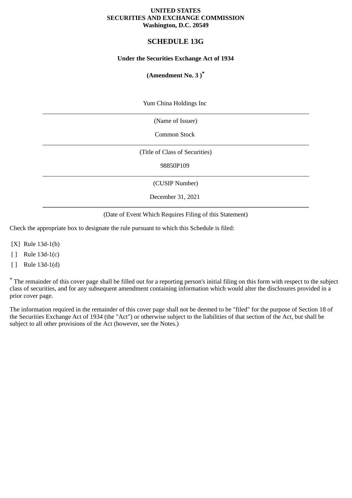### **UNITED STATES SECURITIES AND EXCHANGE COMMISSION Washington, D.C. 20549**

# **SCHEDULE 13G**

### **Under the Securities Exchange Act of 1934**

### **(Amendment No. 3 )\***

Yum China Holdings Inc

(Name of Issuer)

Common Stock

(Title of Class of Securities)

98850P109

(CUSIP Number)

December 31, 2021

(Date of Event Which Requires Filing of this Statement)

Check the appropriate box to designate the rule pursuant to which this Schedule is filed:

[X] Rule 13d-1(b)

[ ] Rule 13d-1(c)

[ ] Rule 13d-1(d)

\* The remainder of this cover page shall be filled out for a reporting person's initial filing on this form with respect to the subject class of securities, and for any subsequent amendment containing information which would alter the disclosures provided in a prior cover page.

The information required in the remainder of this cover page shall not be deemed to be "filed" for the purpose of Section 18 of the Securities Exchange Act of 1934 (the "Act") or otherwise subject to the liabilities of that section of the Act, but shall be subject to all other provisions of the Act (however, see the Notes.)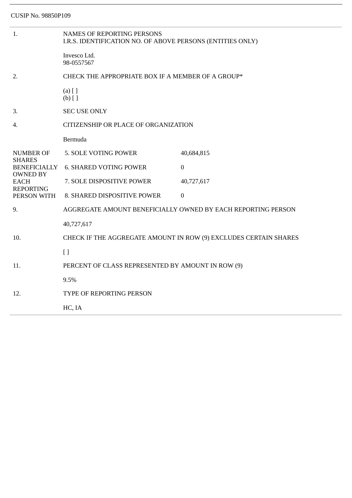| 1.                                                                                                                            | <b>NAMES OF REPORTING PERSONS</b><br>I.R.S. IDENTIFICATION NO. OF ABOVE PERSONS (ENTITIES ONLY) |                |  |
|-------------------------------------------------------------------------------------------------------------------------------|-------------------------------------------------------------------------------------------------|----------------|--|
|                                                                                                                               | Invesco Ltd.<br>98-0557567                                                                      |                |  |
| 2.                                                                                                                            | CHECK THE APPROPRIATE BOX IF A MEMBER OF A GROUP*                                               |                |  |
|                                                                                                                               | $(a)$ [ ]<br>$(b)$ []                                                                           |                |  |
| 3.                                                                                                                            | <b>SEC USE ONLY</b>                                                                             |                |  |
| 4.                                                                                                                            | CITIZENSHIP OR PLACE OF ORGANIZATION                                                            |                |  |
|                                                                                                                               | Bermuda                                                                                         |                |  |
| <b>NUMBER OF</b><br><b>SHARES</b><br><b>BENEFICIALLY</b><br><b>OWNED BY</b><br><b>EACH</b><br><b>REPORTING</b><br>PERSON WITH | 5. SOLE VOTING POWER                                                                            | 40,684,815     |  |
|                                                                                                                               | <b>6. SHARED VOTING POWER</b>                                                                   | $\overline{0}$ |  |
|                                                                                                                               | 7. SOLE DISPOSITIVE POWER                                                                       | 40,727,617     |  |
|                                                                                                                               | 8. SHARED DISPOSITIVE POWER                                                                     | $\mathbf{0}$   |  |
| 9.                                                                                                                            | AGGREGATE AMOUNT BENEFICIALLY OWNED BY EACH REPORTING PERSON                                    |                |  |
|                                                                                                                               | 40,727,617                                                                                      |                |  |
| 10.                                                                                                                           | CHECK IF THE AGGREGATE AMOUNT IN ROW (9) EXCLUDES CERTAIN SHARES                                |                |  |
|                                                                                                                               | $[ ]$                                                                                           |                |  |
| 11.                                                                                                                           | PERCENT OF CLASS REPRESENTED BY AMOUNT IN ROW (9)                                               |                |  |
|                                                                                                                               | 9.5%                                                                                            |                |  |
| 12.                                                                                                                           | TYPE OF REPORTING PERSON                                                                        |                |  |
|                                                                                                                               | HC, IA                                                                                          |                |  |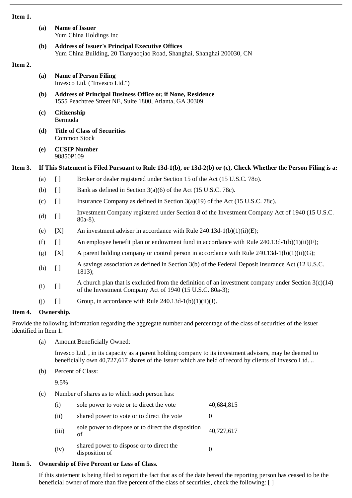#### **Item 1.**

| (a) Name of Issuer     |  |  |
|------------------------|--|--|
| Yum China Holdings Inc |  |  |
|                        |  |  |

**(b) Address of Issuer's Principal Executive Offices** Yum China Building, 20 Tianyaoqiao Road, Shanghai, Shanghai 200030, CN

### **Item 2.**

- **(a) Name of Person Filing** Invesco Ltd. ("Invesco Ltd.")
- **(b) Address of Principal Business Office or, if None, Residence** 1555 Peachtree Street NE, Suite 1800, Atlanta, GA 30309
- **(c) Citizenship** Bermuda
- **(d) Title of Class of Securities** Common Stock
- **(e) CUSIP Number** 98850P109

# **Item 3. If This Statement is Filed Pursuant to Rule 13d-1(b), or 13d-2(b) or (c), Check Whether the Person Filing is a:**

- (a) [ ] Broker or dealer registered under Section 15 of the Act (15 U.S.C. 78o).
- (b)  $\Box$  Bank as defined in Section 3(a)(6) of the Act (15 U.S.C. 78c).
- (c) [ ] Insurance Company as defined in Section 3(a)(19) of the Act (15 U.S.C. 78c).
- (d) [ ] Investment Company registered under Section 8 of the Investment Company Act of 1940 (15 U.S.C. 80a-8).
- (e)  $[X]$  An investment adviser in accordance with Rule 240.13d-1(b)(1)(ii)(E);
- (f)  $\left[ \right]$  An employee benefit plan or endowment fund in accordance with Rule 240.13d-1(b)(1)(ii)(F);
- (g)  $[X]$  A parent holding company or control person in accordance with Rule 240.13d-1(b)(1)(ii)(G);
- (h) [ ] A savings association as defined in Section 3(b) of the Federal Deposit Insurance Act (12 U.S.C. 1813);
- (i)  $\begin{bmatrix} 1 & 0 \end{bmatrix}$  A church plan that is excluded from the definition of an investment company under Section 3(c)(14) of the Investment Company Act of 1940 (15 U.S.C. 80a-3);
- (j)  $[$  ] Group, in accordance with Rule 240.13d-1(b)(1)(ii)(J).

### **Item 4. Ownership.**

Provide the following information regarding the aggregate number and percentage of the class of securities of the issuer identified in Item 1.

(a) Amount Beneficially Owned:

Invesco Ltd. , in its capacity as a parent holding company to its investment advisers, may be deemed to beneficially own 40,727,617 shares of the Issuer which are held of record by clients of Invesco Ltd. ..

(b) Percent of Class:

9.5%

(c) Number of shares as to which such person has:

| (i)   | sole power to vote or to direct the vote                   | 40,684,815 |
|-------|------------------------------------------------------------|------------|
| (ii)  | shared power to vote or to direct the vote                 |            |
| (iii) | sole power to dispose or to direct the disposition<br>of   | 40,727,617 |
| (iv)  | shared power to dispose or to direct the<br>disposition of |            |

# **Item 5. Ownership of Five Percent or Less of Class.**

If this statement is being filed to report the fact that as of the date hereof the reporting person has ceased to be the beneficial owner of more than five percent of the class of securities, check the following: [ ]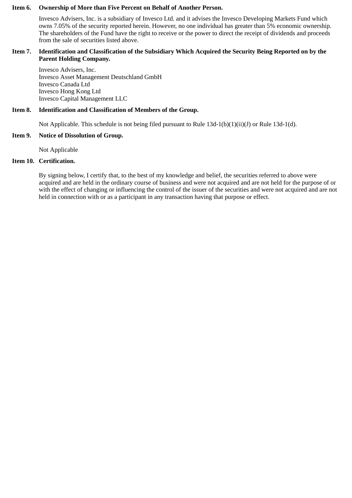#### **Item 6. Ownership of More than Five Percent on Behalf of Another Person.**

Invesco Advisers, Inc. is a subsidiary of Invesco Ltd. and it advises the Invesco Developing Markets Fund which owns 7.05% of the security reported herein. However, no one individual has greater than 5% economic ownership. The shareholders of the Fund have the right to receive or the power to direct the receipt of dividends and proceeds from the sale of securities listed above.

### **Item 7. Identification and Classification of the Subsidiary Which Acquired the Security Being Reported on by the Parent Holding Company.**

Invesco Advisers, Inc. Invesco Asset Management Deutschland GmbH Invesco Canada Ltd Invesco Hong Kong Ltd Invesco Capital Management LLC

### **Item 8. Identification and Classification of Members of the Group.**

Not Applicable. This schedule is not being filed pursuant to Rule 13d-1(b)(1)(ii)(J) or Rule 13d-1(d).

#### **Item 9. Notice of Dissolution of Group.**

Not Applicable

# **Item 10. Certification.**

By signing below, I certify that, to the best of my knowledge and belief, the securities referred to above were acquired and are held in the ordinary course of business and were not acquired and are not held for the purpose of or with the effect of changing or influencing the control of the issuer of the securities and were not acquired and are not held in connection with or as a participant in any transaction having that purpose or effect.